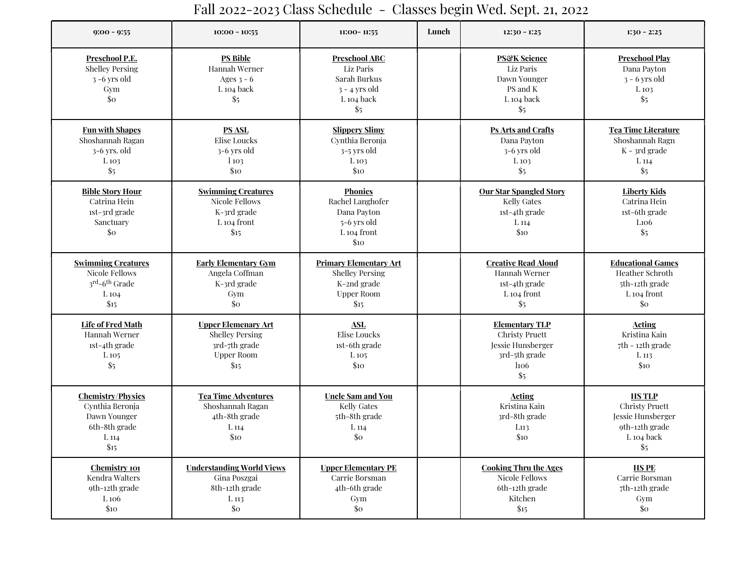## 9:00 - 9:55 1:30 - 2:25 11:00- 10:55 11:00- 11:55 11:00- 11:55 11:00- 11:55 12:30 - 1:25 1:30 - 2:25 Preschool P.E. Shelley Persing 3 -6 yrs old Gym \$0 PS Bible Hannah Werner Ages  $3 - 6$ L 104 back \$5 Preschool ABC Liz Paris Sarah Burkus 3 - 4 yrs old L 104 back \$5 **PS&K Science** Liz Paris Dawn Younger PS and K L 104 back \$5 Preschool Play Dana Payton 3 - 6 yrs old L 103 \$5 Fun with Shapes Shoshannah Ragan 3-6 yrs. old L 103 \$5 PS ASL Elise Loucks 3-6 yrs old l 103 \$10 Slippery Slimy Cynthia Beronja 3-5 yrs old L 103 \$10 Ps Arts and Crafts Dana Payton 3-6 yrs old L 103 \$5 Tea Time Literature Shoshannah Ragn K - 3rd grade L 114  $\frac{6}{5}$ Bible Story Hour Catrina Hein 1st-3rd grade Sanctuary \$0 Swimming Creatures Nicole Fellows K-3rd grade L 104 front \$15 **Phonics** Rachel Langhofer Dana Payton 5-6 yrs old L 104 front \$10 Our Star Spangled Story Kelly Gates 1st-4th grade L 114 \$10 Liberty Kids Catrina Hein 1st-6th grade L106  $$5$ Swimming Creatures Nicole Fellows 3<sup>rd</sup>-6<sup>th</sup> Grade L 104 \$15 Early Elementary Gym Angela Coffman K-3rd grade Gym \$0 Primary Elementary Art Shelley Persing K-2nd grade Upper Room  $$15$ Creative Read Aloud Hannah Werner 1st-4th grade L 104 front \$5 Educational Games Heather Schroth 5th-12th grade L 104 front \$0 Life of Fred Math Hannah Werner 1st-4th grade L 105 \$5 Upper Elemenary Art Shelley Persing 3rd-7th grade Upper Room \$15 ASL Elise Loucks 1st-6th grade L 105 \$10 Elementary TLP Christy Pruett Jessie Hunsberger 3rd-5th grade l106 \$5 Acting Kristina Kain 7th - 12th grade L 113 \$10 Chemistry/Physics Cynthia Beronja Dawn Younger 6th-8th grade L 114 \$15 Tea Time Adventures Shoshannah Ragan 4th-8th grade L 114 \$10 Uncle Sam and You Kelly Gates 5th-8th grade L 114 \$0 Acting Kristina Kain 3rd-8th grade L113 \$10 HS TLP Christy Pruett Jessie Hunsberger 9th-12th grade L 104 back  $$5$ Chemistry 101 Kendra Walters 9th-12th grade L 106 \$10 Understanding World Views Gina Poszgai 8th-12th grade L 113 \$0 Upper Elementary PE Carrie Borsman 4th-6th grade Gym \$0 Cooking Thru the Ages Nicole Fellows 6th-12th grade Kitchen \$15 HS PE Carrie Borsman 7th-12th grade Gym \$0

## Fall 2022-2023 Class Schedule - Classes begin Wed. Sept. 21, 2022